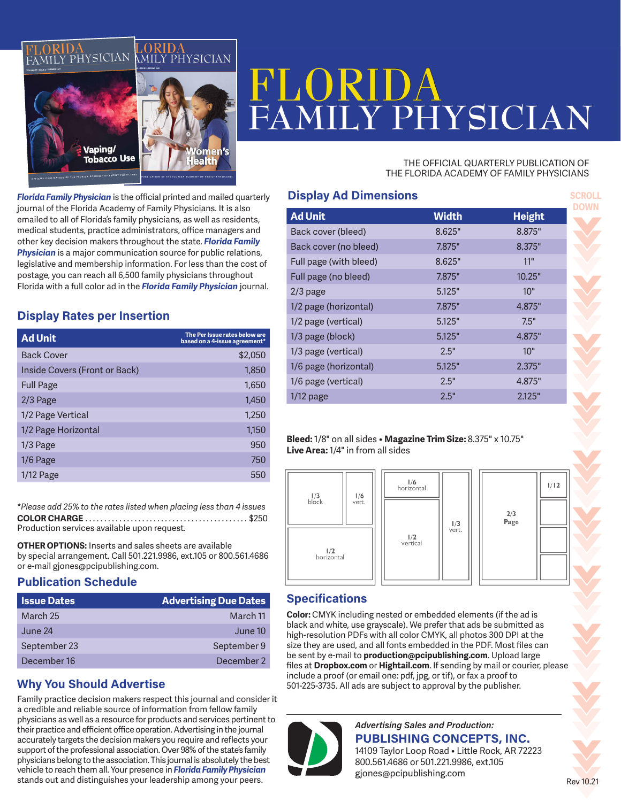

# LY PHYSICIAN

#### THE OFFICIAL QUARTERLY PUBLICATION OF THE FLORIDA ACADEMY OF FAMILY PHYSICIANS

*Florida Family Physician* is the official printed and mailed quarterly journal of the Florida Academy of Family Physicians. It is also emailed to all of Florida's family physicians, as well as residents, medical students, practice administrators, office managers and other key decision makers throughout the state. *Florida Family Physician* is a major communication source for public relations, legislative and membership information. For less than the cost of postage, you can reach all 6,500 family physicians throughout Florida with a full color ad in the *Florida Family Physician* journal.

# **Display Rates per Insertion**

| <b>Ad Unit</b>                | The Per Issue rates below are<br>based on a 4-issue agreement* |
|-------------------------------|----------------------------------------------------------------|
| <b>Back Cover</b>             | \$2,050                                                        |
| Inside Covers (Front or Back) | 1,850                                                          |
| <b>Full Page</b>              | 1,650                                                          |
| $2/3$ Page                    | 1,450                                                          |
| 1/2 Page Vertical             | 1,250                                                          |
| 1/2 Page Horizontal           | 1,150                                                          |
| $1/3$ Page                    | 950                                                            |
| $1/6$ Page                    | 750                                                            |
| $1/12$ Page                   | 550                                                            |

**COLOR CHARGE**. . \$250 Production services available upon request. *\*Please add 25% to the rates listed when placing less than 4 issues*

**OTHER OPTIONS:** Inserts and sales sheets are available by special arrangement. Call 501.221.9986, ext.105 or 800.561.4686 or e-mail gjones@pcipublishing.com.

#### **Publication Schedule**

| <b>Issue Dates</b> | <b>Advertising Due Dates</b> |
|--------------------|------------------------------|
| March 25           | March 11                     |
| June 24            | June 10                      |
| September 23       | September 9                  |
| December 16        | December 2                   |

### **Why You Should Advertise**

Family practice decision makers respect this journal and consider it a credible and reliable source of information from fellow family physicians as well as a resource for products and services pertinent to their practice and efficient office operation. Advertising in the journal accurately targets the decision makers you require and reflects your support of the professional association. Over 98% of the state's family physicians belong to the association. This journal is absolutely the best vehicle to reach them all. Your presence in *Florida Family Physician* stands out and distinguishes your leadership among your peers.

| <b>Display Ad Dimensions</b> |              |               |
|------------------------------|--------------|---------------|
| <b>Ad Unit</b>               | <b>Width</b> | <b>Height</b> |
| Back cover (bleed)           | 8.625"       | 8.875"        |
| Back cover (no bleed)        | 7.875"       | 8.375"        |
| Full page (with bleed)       | 8.625"       | 11"           |
| Full page (no bleed)         | 7.875"       | 10.25"        |
| $2/3$ page                   | 5.125"       | 10"           |
| 1/2 page (horizontal)        | 7.875"       | 4.875"        |
| 1/2 page (vertical)          | 5.125"       | 7.5"          |
| 1/3 page (block)             | 5.125"       | 4.875"        |
| 1/3 page (vertical)          | 2.5"         | 10"           |
| 1/6 page (horizontal)        | 5.125"       | 2.375"        |
| 1/6 page (vertical)          | 2.5"         | 4.875"        |
| $1/12$ page                  | 2.5"         | 2.125"        |

#### **Bleed:** 1/8" on all sides • **Magazine Trim Size:** 8.375" x 10.75" **Live Area:** 1/4" in from all sides



### **Specifications**

**Color:** CMYK including nested or embedded elements (if the ad is black and white, use grayscale). We prefer that ads be submitted as high-resolution PDFs with all color CMYK, all photos 300 DPI at the size they are used, and all fonts embedded in the PDF. Most files can be sent by e-mail to **production@pcipublishing.com**. Upload large files at **Dropbox.com** or **Hightail.com**. If sending by mail or courier, please include a proof (or email one: pdf, jpg, or tif), or fax a proof to 501-225-3735. All ads are subject to approval by the publisher.



*Advertising Sales and Production:* **PUBLISHING CONCEPTS, INC.** 14109 Taylor Loop Road • Little Rock, AR 72223 800.561.4686 or 501.221.9986, ext.105

gjones@pcipublishing.com

Rev 10.21